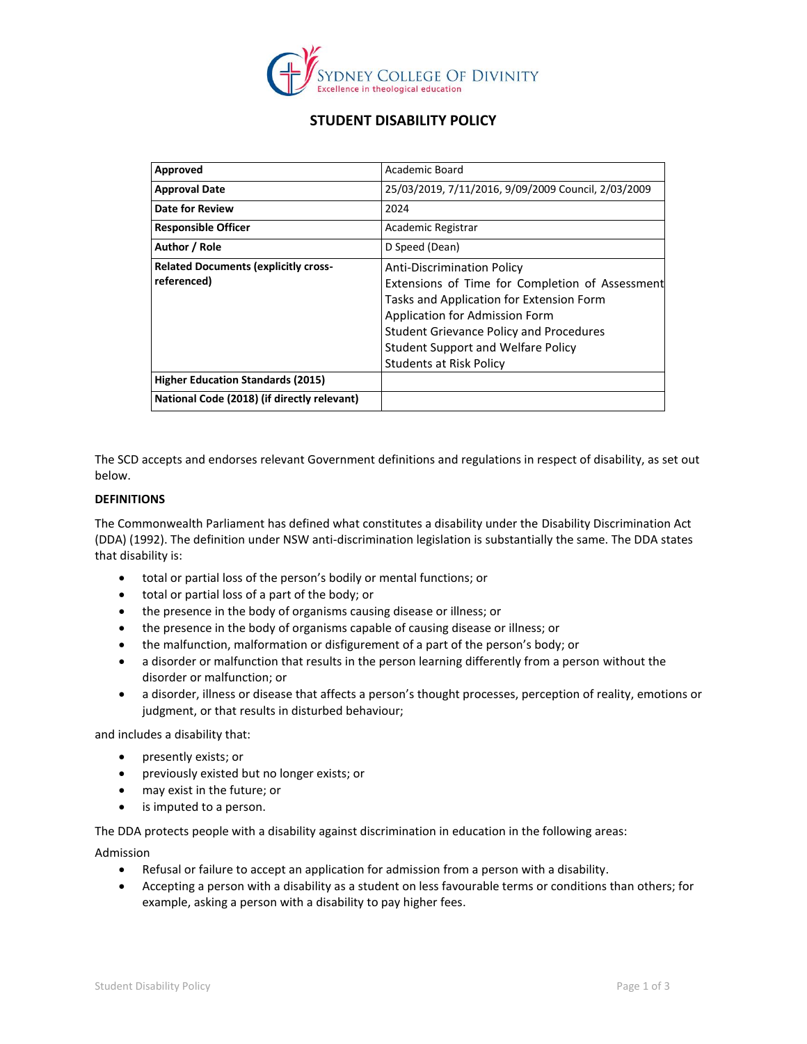

# **STUDENT DISABILITY POLICY**

| Approved                                                     | Academic Board                                                                                                                                                                                                                                                                               |
|--------------------------------------------------------------|----------------------------------------------------------------------------------------------------------------------------------------------------------------------------------------------------------------------------------------------------------------------------------------------|
| <b>Approval Date</b>                                         | 25/03/2019, 7/11/2016, 9/09/2009 Council, 2/03/2009                                                                                                                                                                                                                                          |
| Date for Review                                              | 2024                                                                                                                                                                                                                                                                                         |
| <b>Responsible Officer</b>                                   | Academic Registrar                                                                                                                                                                                                                                                                           |
| Author / Role                                                | D Speed (Dean)                                                                                                                                                                                                                                                                               |
| <b>Related Documents (explicitly cross-</b><br>  referenced) | <b>Anti-Discrimination Policy</b><br>Extensions of Time for Completion of Assessment<br>Tasks and Application for Extension Form<br>Application for Admission Form<br><b>Student Grievance Policy and Procedures</b><br><b>Student Support and Welfare Policy</b><br>Students at Risk Policy |
| <b>Higher Education Standards (2015)</b>                     |                                                                                                                                                                                                                                                                                              |
| National Code (2018) (if directly relevant)                  |                                                                                                                                                                                                                                                                                              |

The SCD accepts and endorses relevant Government definitions and regulations in respect of disability, as set out below.

## **DEFINITIONS**

The Commonwealth Parliament has defined what constitutes a disability under the [Disability Discrimination Act](http://www.austlii.edu.au/au/legis/cth/consol_act/dda1992264/)  [\(DDA\) \(1992\).](http://www.austlii.edu.au/au/legis/cth/consol_act/dda1992264/) The definition under NSW anti-discrimination legislation is substantially the same. The DDA states that disability is:

- total or partial loss of the person's bodily or mental functions; or
- total or partial loss of a part of the body; or
- the presence in the body of organisms causing disease or illness; or
- the presence in the body of organisms capable of causing disease or illness; or
- the malfunction, malformation or disfigurement of a part of the person's body; or
- a disorder or malfunction that results in the person learning differently from a person without the disorder or malfunction; or
- a disorder, illness or disease that affects a person's thought processes, perception of reality, emotions or judgment, or that results in disturbed behaviour;

and includes a disability that:

- presently exists; or
- previously existed but no longer exists; or
- may exist in the future; or
- is imputed to a person.

The DDA protects people with a disability against discrimination in education in the following areas:

Admission

- Refusal or failure to accept an application for admission from a person with a disability.
- Accepting a person with a disability as a student on less favourable terms or conditions than others; for example, asking a person with a disability to pay higher fees.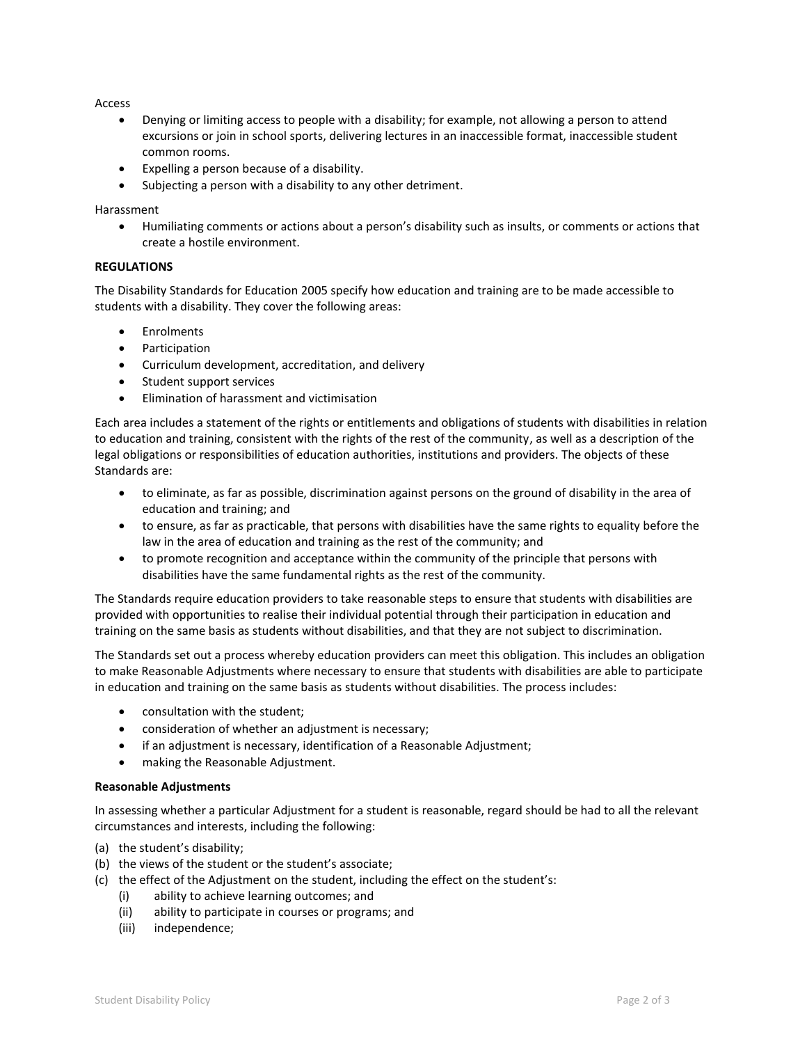Access

- Denying or limiting access to people with a disability; for example, not allowing a person to attend excursions or join in school sports, delivering lectures in an inaccessible format, inaccessible student common rooms.
- Expelling a person because of a disability.
- Subjecting a person with a disability to any other detriment.

Harassment

• Humiliating comments or actions about a person's disability such as insults, or comments or actions that create a hostile environment.

## **REGULATIONS**

The Disability Standards for Education 2005 specify how education and training are to be made accessible to students with a disability. They cover the following areas:

- **Enrolments**
- **Participation**
- Curriculum development, accreditation, and delivery
- Student support services
- Elimination of harassment and victimisation

Each area includes a statement of the rights or entitlements and obligations of students with disabilities in relation to education and training, consistent with the rights of the rest of the community, as well as a description of the legal obligations or responsibilities of education authorities, institutions and providers. The objects of these Standards are:

- to eliminate, as far as possible, discrimination against persons on the ground of disability in the area of education and training; and
- to ensure, as far as practicable, that persons with disabilities have the same rights to equality before the law in the area of education and training as the rest of the community; and
- to promote recognition and acceptance within the community of the principle that persons with disabilities have the same fundamental rights as the rest of the community.

The Standards require education providers to take reasonable steps to ensure that students with disabilities are provided with opportunities to realise their individual potential through their participation in education and training on the same basis as students without disabilities, and that they are not subject to discrimination.

The Standards set out a process whereby education providers can meet this obligation. This includes an obligation to make Reasonable Adjustments where necessary to ensure that students with disabilities are able to participate in education and training on the same basis as students without disabilities. The process includes:

- consultation with the student;
- consideration of whether an adjustment is necessary;
- if an adjustment is necessary, identification of a Reasonable Adjustment;
- making the Reasonable Adjustment.

### **Reasonable Adjustments**

In assessing whether a particular Adjustment for a student is reasonable, regard should be had to all the relevant circumstances and interests, including the following:

- (a) the student's disability;
- (b) the views of the student or the student's associate;
- (c) the effect of the Adjustment on the student, including the effect on the student's:
	- (i) ability to achieve learning outcomes; and
	- (ii) ability to participate in courses or programs; and
	- (iii) independence;